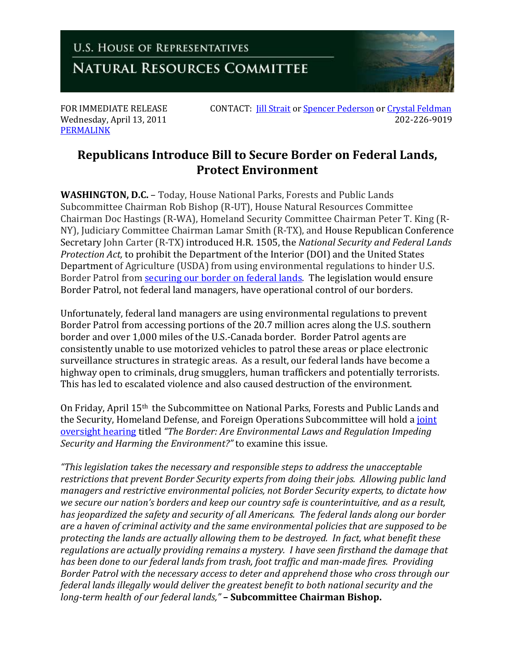**U.S. HOUSE OF REPRESENTATIVES NATURAL RESOURCES COMMITTEE** 

Wednesday, April 13, 2011 [PERMALINK](http://naturalresources.house.gov/News/DocumentSingle.aspx?DocumentID=236358)

FOR IMMEDIATE RELEASE CONTACT: *[Jill Strait](mailto:jill.strait@mail.house.gov)* o[r Spencer Pederson](mailto:spencer.pederson@mail.house.gov) or Crystal [Feldman](mailto:crystal.feldman@mail.house.gov)<br>Wednesdav. April 13, 2011

## **Republicans Introduce Bill to Secure Border on Federal Lands, Protect Environment**

**WASHINGTON, D.C.** – Today, House National Parks, Forests and Public Lands Subcommittee Chairman Rob Bishop (R-UT), House Natural Resources Committee Chairman Doc Hastings (R-WA), Homeland Security Committee Chairman Peter T. King (R-NY), Judiciary Committee Chairman Lamar Smith (R-TX), and House Republican Conference Secretary John Carter (R-TX) introduced H.R. 1505, the *National Security and Federal Lands Protection Act,* to prohibit the Department of the Interior (DOI) and the United States Department of Agriculture (USDA) from using environmental regulations to hinder U.S. Border Patrol from [securing our border on federal lands.](http://naturalresources.house.gov/Info/BorderOverview.htm) The legislation would ensure Border Patrol, not federal land managers, have operational control of our borders.

Unfortunately, federal land managers are using environmental regulations to prevent Border Patrol from accessing portions of the 20.7 million acres along the U.S. southern border and over 1,000 miles of the U.S.-Canada border. Border Patrol agents are consistently unable to use motorized vehicles to patrol these areas or place electronic surveillance structures in strategic areas. As a result, our federal lands have become a highway open to criminals, drug smugglers, human traffickers and potentially terrorists. This has led to escalated violence and also caused destruction of the environment.

On Friday, April 15th the Subcommittee on National Parks, Forests and Public Lands and the Security, Homeland Defense, and Foreign Operations Subcommittee will hold a [joint](http://naturalresources.house.gov/Calendar/EventSingle.aspx?EventID=234828)  [oversight hearing](http://naturalresources.house.gov/Calendar/EventSingle.aspx?EventID=234828) titled *"The Border: Are Environmental Laws and Regulation Impeding Security and Harming the Environment?"* to examine this issue.

*"This legislation takes the necessary and responsible steps to address the unacceptable restrictions that prevent Border Security experts from doing their jobs. Allowing public land managers and restrictive environmental policies, not Border Security experts, to dictate how we secure our nation's borders and keep our country safe is counterintuitive, and as a result, has jeopardized the safety and security of all Americans. The federal lands along our border are a haven of criminal activity and the same environmental policies that are supposed to be protecting the lands are actually allowing them to be destroyed. In fact, what benefit these regulations are actually providing remains a mystery. I have seen firsthand the damage that has been done to our federal lands from trash, foot traffic and man-made fires. Providing Border Patrol with the necessary access to deter and apprehend those who cross through our federal lands illegally would deliver the greatest benefit to both national security and the long-term health of our federal lands,"* **– Subcommittee Chairman Bishop.**